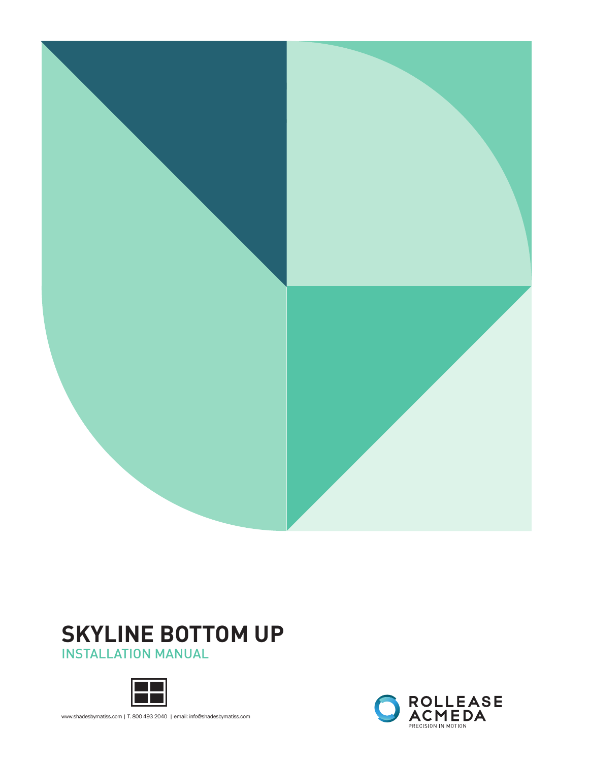

# **SKYLINE BOTTOM UP**

INSTALLATION MANUAL



www.shadesbymatiss.com | T. 800 493 2040 | email: info@shadesbymatiss.com

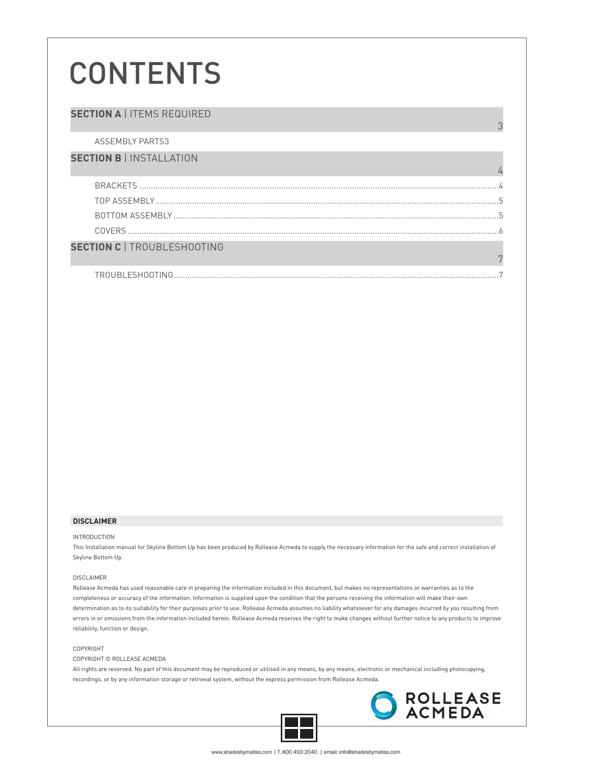# **CONTENTS**

## **SECTION A | ITEMS REQUIRED**

ASSEMBLY PARTS3

### **SECTION B** | INSTALLATION

| <b>TION C   TROUBLESHOOTING</b> |  |
|---------------------------------|--|

| <b>TROURLESHOOTIN</b><br>`INI<br>≀ רז ר |  |
|-----------------------------------------|--|

#### **DISCLAIMER**

SEC<sub>1</sub>

#### INTRODUCTION

This Installation manual for Skyline Bottom Up has been produced by Rollease Acmeda to supply the necessary information for the safe and correct installation of Skyline Bottom Up.

#### DISCLAIMER

Rollease Acmeda has used reasonable care in preparing the information included in this document, but makes no representations or warranties as to the completeness or accuracy of the information. Information is supplied upon the condition that the persons receiving the information will make their own determination as to its suitability for their purposes prior to use. Rollease Acmeda assumes no liability whatsoever for any damages incurred by you resulting from errors in or omissions from the information included herein. Rollease Acmeda reserves the right to make changes without further notice to any products to improve reliability, function or design.

#### COPYRIGHT

COPYRIGHT © ROLLEASE ACMEDA

All rights are reserved. No part of this document may be reproduced or utilised in any means, by any means, electronic or mechanical including photocopying, recordings, or by any information storage or retrieval system, without the express permission from Rollease Acmeda.





3

7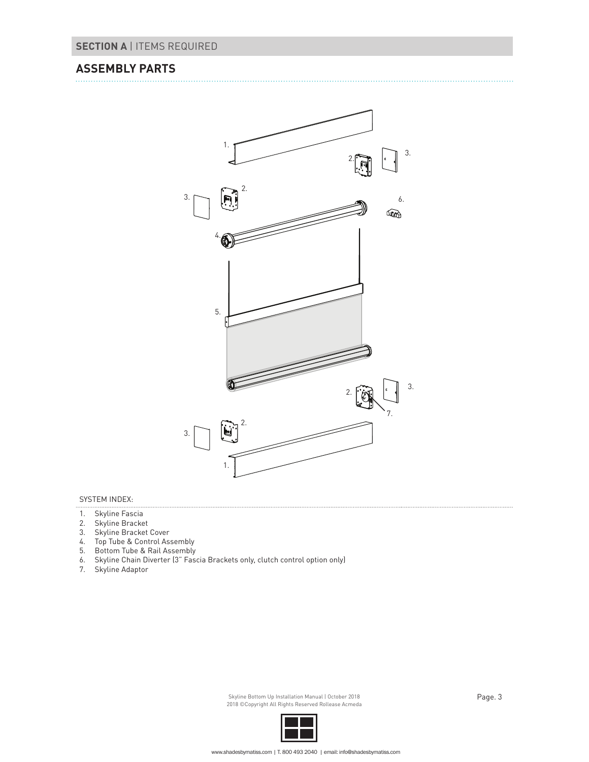## **ASSEMBLY PARTS**



### SYSTEM INDEX:

- 1. Skyline Fascia
- 2. Skyline Bracket
- 3. Skyline Bracket Cover
- 4. Top Tube & Control Assembly
- 5. Bottom Tube & Rail Assembly
- 6. Skyline Chain Diverter (3" Fascia Brackets only, clutch control option only)
- 7. Skyline Adaptor

Skyline Bottom Up Installation Manual | October 2018 | November 2018 | Page. 3 2018 ©Copyright All Rights Reserved Rollease Acmeda

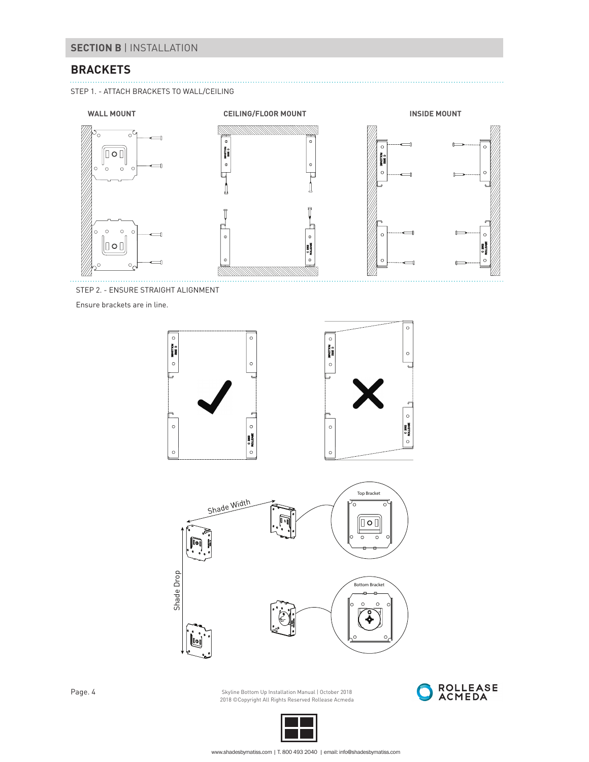## **BRACKETS**

STEP 1. - ATTACH BRACKETS TO WALL/CEILING



STEP 2. - ENSURE STRAIGHT ALIGNMENT

Ensure brackets are in line.





Page. 4 Skyline Bottom Up Installation Manual | October 2018<br>2018 ©Copyright All Rights Reserved Rollease Acmeda



. . . . . . . . . . . . . . . . . . .

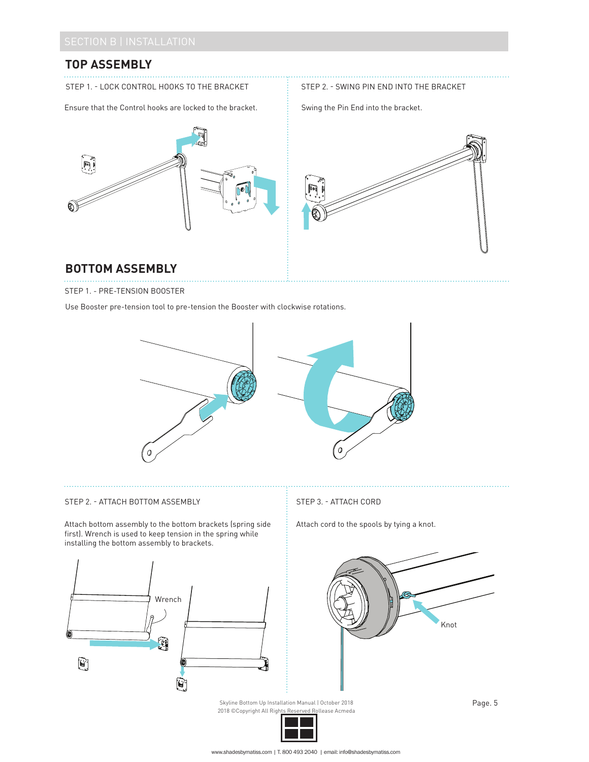# **TOP ASSEMBLY**

STEP 1. - LOCK CONTROL HOOKS TO THE BRACKET

Ensure that the Control hooks are locked to the bracket.

STEP 2. - SWING PIN END INTO THE BRACKET

Swing the Pin End into the bracket.





## **BOTTOM ASSEMBLY**

STEP 1. - PRE-TENSION BOOSTER

Use Booster pre-tension tool to pre-tension the Booster with clockwise rotations.



## STEP 2. - ATTACH BOTTOM ASSEMBLY STEP 3. - ATTACH CORD

Attach bottom assembly to the bottom brackets (spring side first). Wrench is used to keep tension in the spring while installing the bottom assembly to brackets.



Attach cord to the spools by tying a knot.



Skyline Bottom Up Installation Manual | October 2018<br>2018 ©Copyright All Righ<u>ts Reserved Ro</u>llease Acmeda 2018 ©Copyright All Rights Reserved

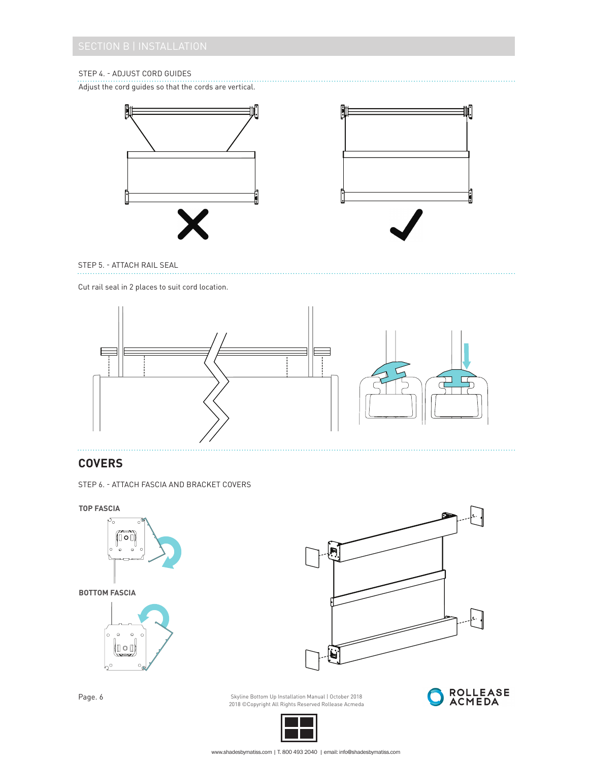## STEP 4. - ADJUST CORD GUIDES

Adjust the cord guides so that the cords are vertical.





STEP 5. - ATTACH RAIL SEAL

Cut rail seal in 2 places to suit cord location.



# **COVERS**

STEP 6. - ATTACH FASCIA AND BRACKET COVERS



Page. 6 Skyline Bottom Up Installation Manual | October 2018 2018 ©Copyright All Rights Reserved Rollease Acmeda





www.shadesbymatiss.com | T. 800 493 2040 | email: info@shadesbymatiss.com